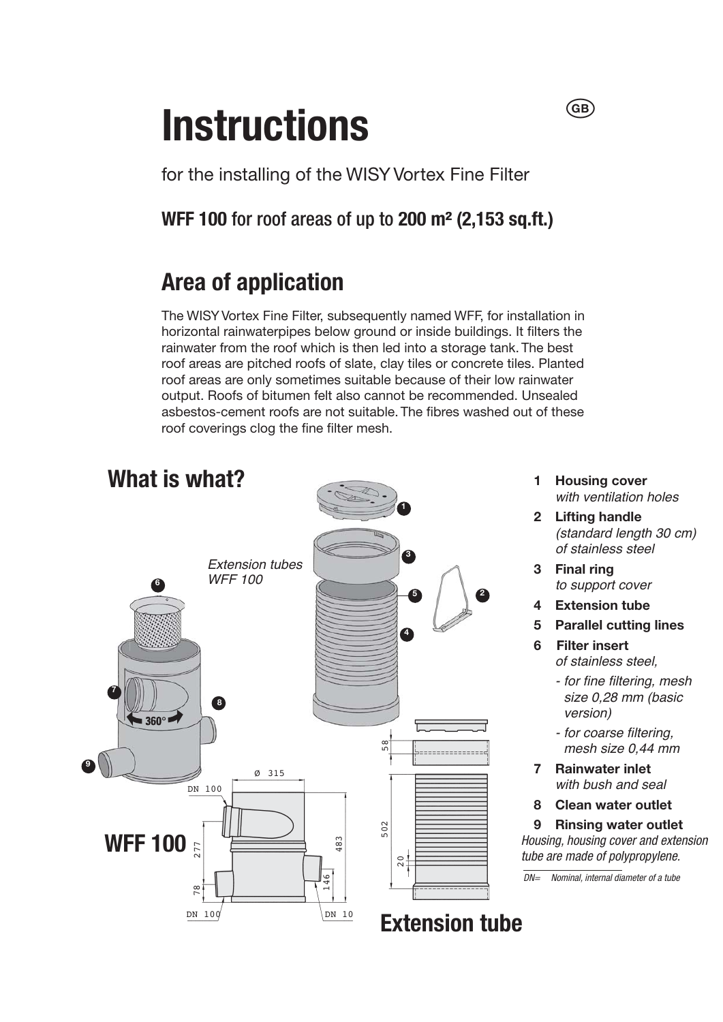## **Instructions**

for the installing of the WISY Vortex Fine Filter

**WFF 100 for roof areas of up to 200 m<sup>2</sup> (2,153 sq.ft.)** 

## **Area of application**

The WISY Vortex Fine Filter, subsequently named WFF, for installation in horizontal rainwaterpipes below ground or inside buildings. It filters the rainwater from the roof which is then led into a storage tank. The best roof areas are pitched roofs of slate, clay tiles or concrete tiles. Planted roof areas are only sometimes suitable because of their low rainwater output. Roofs of bitumen felt also cannot be recommended. Unsealed asbestos-cement roofs are not suitable. The fibres washed out of these roof coverings clog the fine filter mesh.



**1 Housing cover**  with ventilation holes

 $\overline{(\overline{G}}\overline{B})$ 

- **2 Lifting handle**  *(standard length 30 cm) <i><u>Righters</u> Righters Righters Righters Righters Righters Righters Righters Righters Righters Righters Righters Righters Righters Righters Righters Righters Righters Righters Righter*
- **3 Final ring**  to support cover
- **4 Extension tube**
- **5 Parallel cutting lines**
- **6 Filter insert**  *<i><u>Rigidens</u> Rigidens Rigidens* 
	- *Ior fine filtering, mesh* size 0,28 mm (basic  $version)$
	- for coarse filtering, mesh size 0.44 mm
- **7 Rainwater inlet**  *with bush and seal*
- **8 Clean water outlet**

**9 Rinsing water outlet** Housing, housing cover and extension tube are made of polypropylene.

 $\overline{DN}$  Nominal, internal diameter of a tube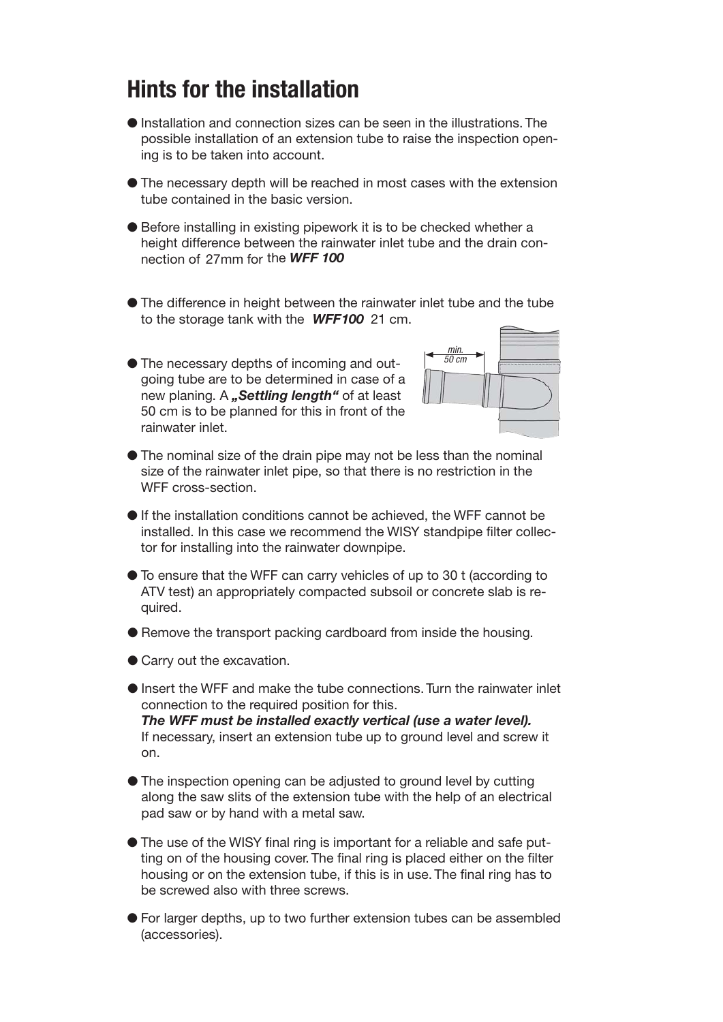## **Hints for the installation**

- OInstallation and connection sizes can be seen in the illustrations. The possible installation of an extension tube to raise the inspection opening is to be taken into account.
- OThe necessary depth will be reached in most cases with the extension tube contained in the basic version.
- Before installing in existing pipework it is to be checked whether a height difference between the rainwater inlet tube and the drain connection of 27mm for the *WFF 100*
- OThe difference in height between the rainwater inlet tube and the tube to the storage tank with the *WFF 100* 21 cm.
- OThe necessary depths of incoming and outgoing tube are to be determined in case of a new planing. A *"Settling length"* of at least 50 cm is to be planned for this in front of the rainwater inlet.



- OThe nominal size of the drain pipe may not be less than the nominal size of the rainwater inlet pipe, so that there is no restriction in the WFF cross-section.
- $\bullet$  If the installation conditions cannot be achieved, the WFF cannot be installed. In this case we recommend the WISY standpipe filter collector for installing into the rainwater downpipe.
- OTo ensure that the WFF can carry vehicles of up to 30 t (according to ATV test) an appropriately compacted subsoil or concrete slab is required.
- $\bullet$  Remove the transport packing cardboard from inside the housing.
- Carry out the excavation.
- OInsert the WFF and make the tube connections. Turn the rainwater inlet connection to the required position for this. *The WFF must be installed exactly vertical (use a water level).*  If necessary, insert an extension tube up to ground level and screw it on.
- OThe inspection opening can be adjusted to ground level by cutting along the saw slits of the extension tube with the help of an electrical pad saw or by hand with a metal saw.
- OThe use of the WISY final ring is important for a reliable and safe putting on of the housing cover. The final ring is placed either on the filter housing or on the extension tube, if this is in use. The final ring has to be screwed also with three screws.
- OFor larger depths, up to two further extension tubes can be assembled (accessories).